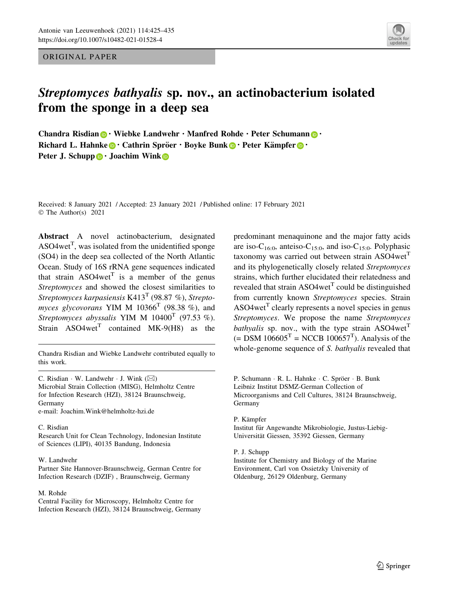ORIGINAL PAPER



# Streptomyces bathyalis sp. nov., an actinobacterium isolated from the sponge in a deep sea

Chandra Risdian  $\bigcirc$  · Wiebke Landwehr · Manfred Rohde · Peter Schumann  $\bigcirc$  · Richard L. Hahnke  $\bigcirc$  Cathrin Spröer  $\cdot$  Boyke Bunk  $\bigcirc$   $\cdot$  Peter Kämpfer  $\bigcirc$   $\cdot$ Peter J. Schupp  $\bigcirc$  · Joachim Wink  $\bigcirc$ 

Received: 8 January 2021 / Accepted: 23 January 2021 / Published online: 17 February 2021 © The Author(s) 2021

Abstract A novel actinobacterium, designated ASO4wet<sup>T</sup>, was isolated from the unidentified sponge (SO4) in the deep sea collected of the North Atlantic Ocean. Study of 16S rRNA gene sequences indicated that strain  $ASO4wet^{T}$  is a member of the genus Streptomyces and showed the closest similarities to Streptomyces karpasiensis K413<sup>T</sup> (98.87 %), Streptomyces glycovorans YIM M  $10366<sup>T</sup>$  (98.38 %), and Streptomyces abyssalis YIM M  $10400^T$  (97.53 %). Strain  $ASO4wet<sup>T</sup>$  contained MK-9(H8) as the

this work.

C. Risdian  $\cdot$  W. Landwehr  $\cdot$  J. Wink  $(\boxtimes)$ Microbial Strain Collection (MISG), Helmholtz Centre for Infection Research (HZI), 38124 Braunschweig, Germany e-mail: Joachim.Wink@helmholtz-hzi.de

#### C. Risdian

Research Unit for Clean Technology, Indonesian Institute of Sciences (LIPI), 40135 Bandung, Indonesia

#### W. Landwehr

Partner Site Hannover-Braunschweig, German Centre for Infection Research (DZIF) , Braunschweig, Germany

#### M. Rohde

Central Facility for Microscopy, Helmholtz Centre for Infection Research (HZI), 38124 Braunschweig, Germany

predominant menaquinone and the major fatty acids are iso-C<sub>16:0</sub>, anteiso-C<sub>15:0</sub>, and iso-C<sub>15:0</sub>. Polyphasic taxonomy was carried out between strain  $ASO4wet<sup>T</sup>$ and its phylogenetically closely related Streptomyces strains, which further elucidated their relatedness and revealed that strain  $ASO4wet<sup>T</sup>$  could be distinguished from currently known Streptomyces species. Strain ASO4wet<sup>T</sup> clearly represents a novel species in genus Streptomyces. We propose the name Streptomyces bathyalis sp. nov., with the type strain  $ASO4wet^{T}$  $(=$  DSM 106605<sup>T</sup> = NCCB 100657<sup>T</sup>). Analysis of the Chandra Risdian and Wiebke Landwehr contributed equally to whole-genome sequence of S. bathyalis revealed that

> P. Schumann · R. L. Hahnke · C. Spröer · B. Bunk Leibniz Institut DSMZ-German Collection of Microorganisms and Cell Cultures, 38124 Braunschweig, Germany

### P. Kämpfer

Institut für Angewandte Mikrobiologie, Justus-Liebig-Universität Giessen, 35392 Giessen, Germany

## P. J. Schupp

Institute for Chemistry and Biology of the Marine Environment, Carl von Ossietzky University of Oldenburg, 26129 Oldenburg, Germany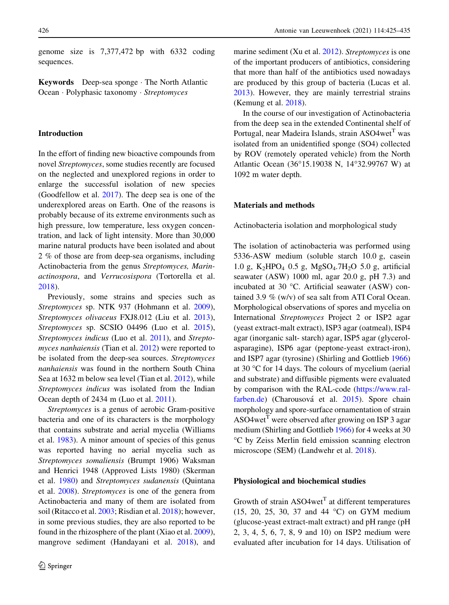genome size is 7,377,472 bp with 6332 coding sequences.

Keywords Deep-sea sponge - The North Atlantic Ocean · Polyphasic taxonomy · Streptomyces

# Introduction

In the effort of finding new bioactive compounds from novel Streptomyces, some studies recently are focused on the neglected and unexplored regions in order to enlarge the successful isolation of new species (Goodfellow et al. [2017\)](#page-9-0). The deep sea is one of the underexplored areas on Earth. One of the reasons is probably because of its extreme environments such as high pressure, low temperature, less oxygen concentration, and lack of light intensity. More than 30,000 marine natural products have been isolated and about 2 % of those are from deep-sea organisms, including Actinobacteria from the genus Streptomyces, Marinactinospora, and Verrucosispora (Tortorella et al. [2018\)](#page-10-0).

Previously, some strains and species such as Streptomyces sp. NTK 937 (Hohmann et al. [2009](#page-9-0)), Streptomyces olivaceus FXJ8.012 (Liu et al. [2013](#page-9-0)), Streptomyces sp. SCSIO 04496 (Luo et al. [2015](#page-9-0)), Streptomyces indicus (Luo et al. [2011\)](#page-9-0), and Streptomyces nanhaiensis (Tian et al. [2012\)](#page-10-0) were reported to be isolated from the deep-sea sources. Streptomyces nanhaiensis was found in the northern South China Sea at 1632 m below sea level (Tian et al. [2012](#page-10-0)), while Streptomyces indicus was isolated from the Indian Ocean depth of 2434 m (Luo et al. [2011](#page-9-0)).

Streptomyces is a genus of aerobic Gram-positive bacteria and one of its characters is the morphology that contains substrate and aerial mycelia (Williams et al. [1983](#page-10-0)). A minor amount of species of this genus was reported having no aerial mycelia such as Streptomyces somaliensis (Brumpt 1906) Waksman and Henrici 1948 (Approved Lists 1980) (Skerman et al. [1980\)](#page-10-0) and Streptomyces sudanensis (Quintana et al. [2008\)](#page-10-0). Streptomyces is one of the genera from Actinobacteria and many of them are isolated from soil (Ritacco et al. [2003;](#page-10-0) Risdian et al. [2018](#page-10-0)); however, in some previous studies, they are also reported to be found in the rhizosphere of the plant (Xiao et al. [2009](#page-10-0)), mangrove sediment (Handayani et al. [2018](#page-9-0)), and marine sediment (Xu et al. [2012](#page-10-0)). Streptomyces is one of the important producers of antibiotics, considering that more than half of the antibiotics used nowadays are produced by this group of bacteria (Lucas et al. [2013\)](#page-9-0). However, they are mainly terrestrial strains (Kemung et al. [2018\)](#page-9-0).

In the course of our investigation of Actinobacteria from the deep sea in the extended Continental shelf of Portugal, near Madeira Islands, strain  $ASO4wet<sup>T</sup>$  was isolated from an unidentified sponge (SO4) collected by ROV (remotely operated vehicle) from the North Atlantic Ocean (36°15.19038 N, 14°32.99767 W) at 1092 m water depth.

### Materials and methods

Actinobacteria isolation and morphological study

The isolation of actinobacteria was performed using 5336-ASW medium (soluble starch 10.0 g, casein 1.0 g,  $K_2HPO_4$  0.5 g,  $MgSO_4.7H_2O$  5.0 g, artificial seawater (ASW) 1000 ml, agar 20.0 g, pH 7.3) and incubated at 30  $\degree$ C. Artificial seawater (ASW) contained 3.9 % (w/v) of sea salt from ATI Coral Ocean. Morphological observations of spores and mycelia on International Streptomyces Project 2 or ISP2 agar (yeast extract-malt extract), ISP3 agar (oatmeal), ISP4 agar (inorganic salt- starch) agar, ISP5 agar (glycerolasparagine), ISP6 agar (peptone-yeast extract-iron), and ISP7 agar (tyrosine) (Shirling and Gottlieb [1966\)](#page-10-0) at 30  $\degree$ C for 14 days. The colours of mycelium (aerial and substrate) and diffusible pigments were evaluated by comparison with the RAL-code [\(https://www.ral](https://www.ral-farben.de)[farben.de](https://www.ral-farben.de)) (Charousová et al. [2015\)](#page-9-0). Spore chain morphology and spore-surface ornamentation of strain ASO4wet<sup>T</sup> were observed after growing on ISP 3 agar medium (Shirling and Gottlieb [1966](#page-10-0)) for 4 weeks at 30 C by Zeiss Merlin field emission scanning electron microscope (SEM) (Landwehr et al. [2018](#page-9-0)).

# Physiological and biochemical studies

Growth of strain  $ASO4wet<sup>T</sup>$  at different temperatures (15, 20, 25, 30, 37 and 44 C) on GYM medium (glucose-yeast extract-malt extract) and pH range (pH 2, 3, 4, 5, 6, 7, 8, 9 and 10) on ISP2 medium were evaluated after incubation for 14 days. Utilisation of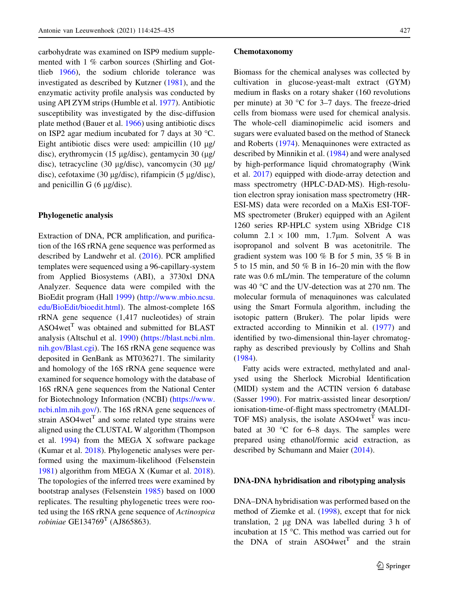carbohydrate was examined on ISP9 medium supplemented with 1 % carbon sources (Shirling and Gottlieb [1966](#page-10-0)), the sodium chloride tolerance was investigated as described by Kutzner [\(1981](#page-9-0)), and the enzymatic activity profile analysis was conducted by using API ZYM strips (Humble et al. [1977\)](#page-9-0). Antibiotic susceptibility was investigated by the disc-diffusion plate method (Bauer et al. [1966](#page-8-0)) using antibiotic discs on ISP2 agar medium incubated for 7 days at 30 °C. Eight antibiotic discs were used: ampicillin  $(10 \mu g)$ disc), erythromycin (15 µg/disc), gentamycin 30  $(\mu$ g/ disc), tetracycline (30  $\mu$ g/disc), vancomycin (30  $\mu$ g/ disc), cefotaxime (30  $\mu$ g/disc), rifampicin (5  $\mu$ g/disc), and penicillin G  $(6 \mu g/disc)$ .

## Phylogenetic analysis

Extraction of DNA, PCR amplification, and purification of the 16S rRNA gene sequence was performed as described by Landwehr et al. ([2016\)](#page-9-0). PCR amplified templates were sequenced using a 96-capillary-system from Applied Biosystems (ABI), a 3730xl DNA Analyzer. Sequence data were compiled with the BioEdit program (Hall [1999\)](#page-9-0) [\(http://www.mbio.ncsu.](http://www.mbio.ncsu.edu/BioEdit/bioedit.html) [edu/BioEdit/bioedit.html\)](http://www.mbio.ncsu.edu/BioEdit/bioedit.html). The almost-complete 16S rRNA gene sequence (1,417 nucleotides) of strain  $ASO4wet<sup>T</sup>$  was obtained and submitted for BLAST analysis (Altschul et al. [1990](#page-8-0)) [\(https://blast.ncbi.nlm.](https://blast.ncbi.nlm.nih.gov/Blast.cgi) [nih.gov/Blast.cgi](https://blast.ncbi.nlm.nih.gov/Blast.cgi)). The 16S rRNA gene sequence was deposited in GenBank as MT036271. The similarity and homology of the 16S rRNA gene sequence were examined for sequence homology with the database of 16S rRNA gene sequences from the National Center for Biotechnology Information (NCBI) [\(https://www.](https://www.ncbi.nlm.nih.gov/) [ncbi.nlm.nih.gov/\)](https://www.ncbi.nlm.nih.gov/). The 16S rRNA gene sequences of strain  $ASO4wet^{T}$  and some related type strains were aligned using the CLUSTAL W algorithm (Thompson et al. [1994\)](#page-10-0) from the MEGA X software package (Kumar et al. [2018](#page-9-0)). Phylogenetic analyses were performed using the maximum-likelihood (Felsenstein [1981\)](#page-9-0) algorithm from MEGA X (Kumar et al. [2018](#page-9-0)). The topologies of the inferred trees were examined by bootstrap analyses (Felsenstein [1985](#page-9-0)) based on 1000 replicates. The resulting phylogenetic trees were rooted using the 16S rRNA gene sequence of Actinospica robiniae GE134769 $^T$  (AJ865863).

#### Chemotaxonomy

Biomass for the chemical analyses was collected by cultivation in glucose-yeast-malt extract (GYM) medium in flasks on a rotary shaker (160 revolutions per minute) at 30  $\degree$ C for 3–7 days. The freeze-dried cells from biomass were used for chemical analysis. The whole-cell diaminopimelic acid isomers and sugars were evaluated based on the method of Staneck and Roberts ([1974](#page-10-0)). Menaquinones were extracted as described by Minnikin et al. ([1984\)](#page-9-0) and were analysed by high-performance liquid chromatography (Wink et al. [2017\)](#page-10-0) equipped with diode-array detection and mass spectrometry (HPLC-DAD-MS). High-resolution electron spray ionisation mass spectrometry (HR-ESI-MS) data were recorded on a MaXis ESI-TOF-MS spectrometer (Bruker) equipped with an Agilent 1260 series RP-HPLC system using XBridge C18 column  $2.1 \times 100$  mm, 1.7 $\mu$ m. Solvent A was isopropanol and solvent B was acetonitrile. The gradient system was 100 % B for 5 min, 35 % B in 5 to 15 min, and 50 % B in 16–20 min with the flow rate was 0.6 mL/min. The temperature of the column was 40 $\degree$ C and the UV-detection was at 270 nm. The molecular formula of menaquinones was calculated using the Smart Formula algorithm, including the isotopic pattern (Bruker). The polar lipids were extracted according to Minnikin et al. [\(1977](#page-9-0)) and identified by two-dimensional thin-layer chromatography as described previously by Collins and Shah [\(1984](#page-9-0)).

Fatty acids were extracted, methylated and analysed using the Sherlock Microbial Identification (MIDI) system and the ACTIN version 6 database (Sasser [1990](#page-10-0)). For matrix-assisted linear desorption/ ionisation-time-of-flight mass spectrometry (MALDI-TOF MS) analysis, the isolate  $ASO4wet<sup>T</sup>$  was incubated at 30  $\degree$ C for 6–8 days. The samples were prepared using ethanol/formic acid extraction, as described by Schumann and Maier [\(2014](#page-10-0)).

#### DNA-DNA hybridisation and ribotyping analysis

DNA–DNA hybridisation was performed based on the method of Ziemke et al. ([1998\)](#page-10-0), except that for nick translation, 2 µg DNA was labelled during 3 h of incubation at 15  $\degree$ C. This method was carried out for the DNA of strain  $ASO4wet$ <sup>T</sup> and the strain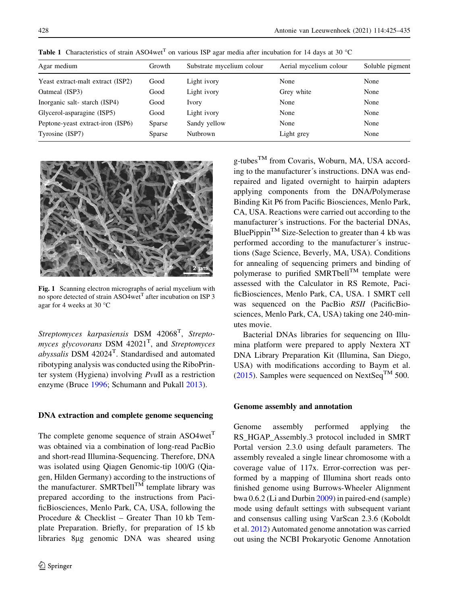| Agar medium                       | Growth | Substrate mycelium colour | Aerial mycelium colour | Soluble pigment |
|-----------------------------------|--------|---------------------------|------------------------|-----------------|
| Yeast extract-malt extract (ISP2) | Good   | Light ivory               | None                   | None            |
| Oatmeal (ISP3)                    | Good   | Light ivory               | Grey white             | None            |
| Inorganic salt-starch (ISP4)      | Good   | Ivory                     | None                   | None            |
| Glycerol-asparagine (ISP5)        | Good   | Light ivory               | None                   | None            |
| Peptone-yeast extract-iron (ISP6) | Sparse | Sandy yellow              | None                   | None            |
| Tyrosine (ISP7)                   | Sparse | Nutbrown                  | Light grey             | None            |

<span id="page-3-0"></span>**Table 1** Characteristics of strain ASO4wet<sup>T</sup> on various ISP agar media after incubation for 14 days at 30 °C



Fig. 1 Scanning electron micrographs of aerial mycelium with no spore detected of strain ASO4wet<sup>T</sup> after incubation on ISP 3 agar for 4 weeks at 30  $^{\circ}$ C

Streptomyces karpasiensis DSM 42068<sup>T</sup>, Streptomyces glycovorans  $DSM$  42021<sup>T</sup>, and *Streptomyces abyssalis* DSM  $42024^T$ . Standardised and automated ribotyping analysis was conducted using the RiboPrinter system (Hygiena) involving PvuII as a restriction enzyme (Bruce [1996;](#page-8-0) Schumann and Pukall [2013\)](#page-10-0).

# DNA extraction and complete genome sequencing

The complete genome sequence of strain  $ASO4wet<sup>T</sup>$ was obtained via a combination of long-read PacBio and short-read Illumina-Sequencing. Therefore, DNA was isolated using Qiagen Genomic-tip 100/G (Qiagen, Hilden Germany) according to the instructions of the manufacturer. SMRTbell<sup>TM</sup> template library was prepared according to the instructions from PacificBiosciences, Menlo Park, CA, USA, following the Procedure & Checklist – Greater Than 10 kb Template Preparation. Briefly, for preparation of 15 kb libraries 8lg genomic DNA was sheared using

 $g$ -tubes<sup>TM</sup> from Covaris, Woburn, MA, USA according to the manufacturer's instructions. DNA was endrepaired and ligated overnight to hairpin adapters applying components from the DNA/Polymerase Binding Kit P6 from Pacific Biosciences, Menlo Park, CA, USA. Reactions were carried out according to the manufacturer's instructions. For the bacterial DNAs, BluePippin<sup>TM</sup> Size-Selection to greater than 4 kb was performed according to the manufacturer's instructions (Sage Science, Beverly, MA, USA). Conditions for annealing of sequencing primers and binding of polymerase to purified SMRTbell<sup>TM</sup> template were assessed with the Calculator in RS Remote, PacificBiosciences, Menlo Park, CA, USA. 1 SMRT cell was sequenced on the PacBio RSII (PacificBiosciences, Menlo Park, CA, USA) taking one 240-minutes movie.

Bacterial DNAs libraries for sequencing on Illumina platform were prepared to apply Nextera XT DNA Library Preparation Kit (Illumina, San Diego, USA) with modifications according to Baym et al. [\(2015](#page-8-0)). Samples were sequenced on NextSeq<sup>TM</sup> 500.

# Genome assembly and annotation

Genome assembly performed applying the RS\_HGAP\_Assembly.3 protocol included in SMRT Portal version 2.3.0 using default parameters. The assembly revealed a single linear chromosome with a coverage value of 117x. Error-correction was performed by a mapping of Illumina short reads onto finished genome using Burrows-Wheeler Alignment bwa 0.6.2 (Li and Durbin [2009\)](#page-9-0) in paired-end (sample) mode using default settings with subsequent variant and consensus calling using VarScan 2.3.6 (Koboldt et al. [2012\)](#page-9-0) Automated genome annotation was carried out using the NCBI Prokaryotic Genome Annotation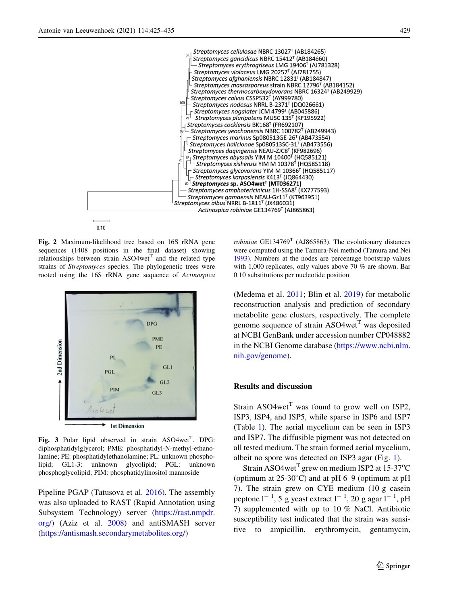<span id="page-4-0"></span>

 $0.10$ 

Fig. 2 Maximum-likelihood tree based on 16S rRNA gene sequences (1408 positions in the final dataset) showing relationships between strain  $ASO4wet<sup>T</sup>$  and the related type strains of Streptomyces species. The phylogenetic trees were rooted using the 16S rRNA gene sequence of Actinospica



Fig. 3 Polar lipid observed in strain ASO4wet<sup>T</sup>. DPG: diphosphatidylglycerol; PME: phosphatidyl-N-methyl-ethanolamine; PE: phosphatidylethanolamine; PL: unknown phospholipid; GL1-3: unknown glycolipid; PGL: unknown phosphoglycolipid; PIM: phosphatidylinositol mannoside

Pipeline PGAP (Tatusova et al. [2016](#page-10-0)). The assembly was also uploaded to RAST (Rapid Annotation using Subsystem Technology) server ([https://rast.nmpdr.](https://rast.nmpdr.org/) [org/\)](https://rast.nmpdr.org/) (Aziz et al. [2008](#page-8-0)) and antiSMASH server [\(https://antismash.secondarymetabolites.org/\)](https://antismash.secondarymetabolites.org/)

robiniae  $GE134769^T$  (AJ865863). The evolutionary distances were computed using the Tamura-Nei method (Tamura and Nei [1993\)](#page-10-0). Numbers at the nodes are percentage bootstrap values with 1,000 replicates, only values above 70 % are shown. Bar 0.10 substitutions per nucleotide position

(Medema et al. [2011;](#page-9-0) Blin et al. [2019](#page-8-0)) for metabolic reconstruction analysis and prediction of secondary metabolite gene clusters, respectively. The complete genome sequence of strain  $ASO4wet<sup>T</sup>$  was deposited at NCBI GenBank under accession number CP048882 in the NCBI Genome database ([https://www.ncbi.nlm.](https://www.ncbi.nlm.nih.gov/genome) [nih.gov/genome\)](https://www.ncbi.nlm.nih.gov/genome).

# Results and discussion

Strain  $ASO4wet<sup>T</sup>$  was found to grow well on ISP2. ISP3, ISP4, and ISP5, while sparse in ISP6 and ISP7 (Table [1](#page-3-0)). The aerial mycelium can be seen in ISP3 and ISP7. The diffusible pigment was not detected on all tested medium. The strain formed aerial mycelium, albeit no spore was detected on ISP3 agar (Fig. [1](#page-3-0)).

Strain ASO4wet<sup>T</sup> grew on medium ISP2 at 15-37°C (optimum at  $25-30^{\circ}$ C) and at pH 6–9 (optimum at pH 7). The strain grew on CYE medium (10 g casein peptone  $l^{-1}$ , 5 g yeast extract  $l^{-1}$ , 20 g agar  $l^{-1}$ , pH 7) supplemented with up to 10 % NaCl. Antibiotic susceptibility test indicated that the strain was sensitive to ampicillin, erythromycin, gentamycin,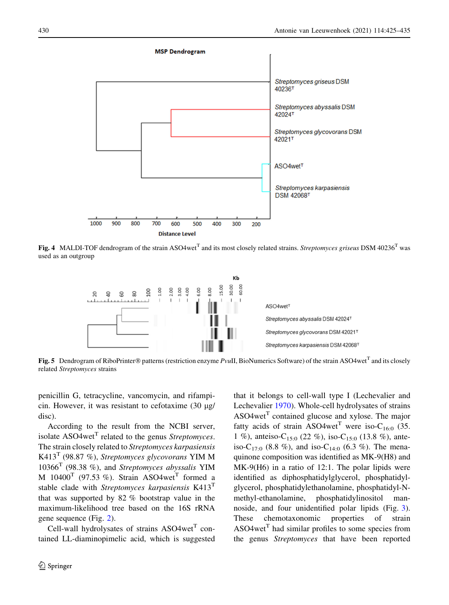<span id="page-5-0"></span>

Fig. 4 MALDI-TOF dendrogram of the strain ASO4wet<sup>T</sup> and its most closely related strains. *Streptomyces griseus* DSM 40236<sup>T</sup> was used as an outgroup



Fig. 5 Dendrogram of RiboPrinter® patterns (restriction enzyme PvuII, BioNumerics Software) of the strain ASO4wet<sup>T</sup> and its closely related Streptomyces strains

penicillin G, tetracycline, vancomycin, and rifampicin. However, it was resistant to cefotaxime  $(30 \mu g)$ disc).

According to the result from the NCBI server, isolate  $ASO4wet<sup>T</sup>$  related to the genus *Streptomyces*. The strain closely related to Streptomyces karpasiensis K413<sup>T</sup> (98.87 %), Streptomyces glycovorans YIM M  $10366<sup>T</sup>$  (98.38 %), and Streptomyces abyssalis YIM M  $10400^T$  (97.53 %). Strain ASO4wet<sup>T</sup> formed a stable clade with Streptomyces karpasiensis  $K413<sup>T</sup>$ that was supported by 82 % bootstrap value in the maximum-likelihood tree based on the 16S rRNA gene sequence (Fig. [2](#page-4-0)).

Cell-wall hydrolysates of strains  $ASO4wet<sup>T</sup>$  contained LL-diaminopimelic acid, which is suggested that it belongs to cell-wall type I (Lechevalier and Lechevalier [1970\)](#page-9-0). Whole-cell hydrolysates of strains  $ASO4wet<sup>T</sup>$  contained glucose and xylose. The major fatty acids of strain ASO4wet<sup>T</sup> were iso-C<sub>16:0</sub> (35. 1 %), anteiso-C<sub>15:0</sub> (22 %), iso-C<sub>15:0</sub> (13.8 %), anteiso-C<sub>17:0</sub> (8.8 %), and iso-C<sub>14:0</sub> (6.3 %). The menaquinone composition was identified as MK-9(H8) and MK-9(H6) in a ratio of 12:1. The polar lipids were identified as diphosphatidylglycerol, phosphatidylglycerol, phosphatidylethanolamine, phosphatidyl-Nmethyl-ethanolamine, phosphatidylinositol mannoside, and four unidentified polar lipids (Fig. [3](#page-4-0)). These chemotaxonomic properties of strain  $ASO4wet<sup>T</sup>$  had similar profiles to some species from the genus Streptomyces that have been reported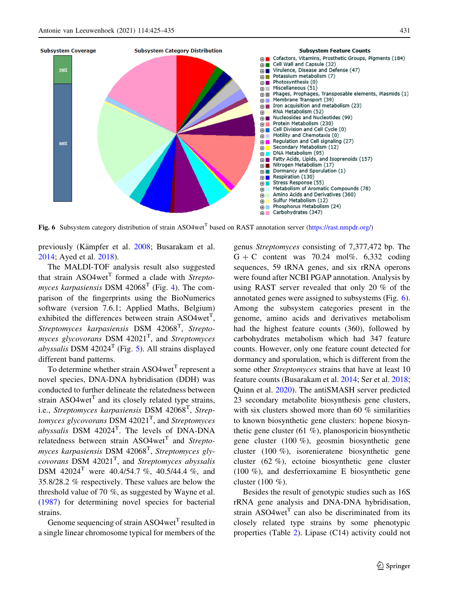

Fig. 6 Subsystem category distribution of strain ASO4wet<sup>T</sup> based on RAST annotation server [\(https://rast.nmpdr.org/](https://rast.nmpdr.org/))

previously (Kämpfer et al. [2008](#page-9-0); Busarakam et al. [2014;](#page-9-0) Ayed et al. [2018](#page-8-0)).

The MALDI-TOF analysis result also suggested that strain  $ASO4wet<sup>T</sup>$  formed a clade with *Strepto*myces karpasiensis DSM  $42068<sup>T</sup>$  $42068<sup>T</sup>$  (Fig. 4). The comparison of the fingerprints using the BioNumerics software (version 7.6.1; Applied Maths, Belgium) exhibited the differences between strain ASO4wet<sup>T</sup>, Streptomyces karpasiensis DSM 42068<sup>T</sup>, Streptomyces glycovorans DSM 42021<sup>T</sup>, and Streptomyces abyssalis DSM 42024<sup>T</sup> (Fig. [5](#page-5-0)). All strains displayed different band patterns.

To determine whether strain  $ASO4wet<sup>T</sup>$  represent a novel species, DNA-DNA hybridisation (DDH) was conducted to further delineate the relatedness between strain  $ASO4wet^{T}$  and its closely related type strains, i.e., Streptomyces karpasiensis DSM 42068<sup>T</sup>, Streptomyces glycovorans  $\text{DSM } 42021^\text{T}$ , and Streptomyces *abyssalis* DSM  $42024$ <sup>T</sup>. The levels of DNA-DNA relatedness between strain  $ASO4wet$ <sup>T</sup> and *Strepto*myces karpasiensis DSM 42068<sup>T</sup>, Streptomyces glycovorans DSM  $42021<sup>T</sup>$ , and Streptomyces abyssalis DSM 42024<sup>T</sup> were 40.4/54.7 %, 40.5/44.4 %, and 35.8/28.2 % respectively. These values are below the threshold value of 70 %, as suggested by Wayne et al. [\(1987](#page-10-0)) for determining novel species for bacterial strains.

Genome sequencing of strain  $ASO4wet<sup>T</sup>$  resulted in a single linear chromosome typical for members of the genus Streptomyces consisting of 7,377,472 bp. The  $G + C$  content was 70.24 mol%. 6,332 coding sequences, 59 tRNA genes, and six rRNA operons were found after NCBI PGAP annotation. Analysis by using RAST server revealed that only 20 % of the annotated genes were assigned to subsystems (Fig. 6). Among the subsystem categories present in the genome, amino acids and derivatives metabolism had the highest feature counts (360), followed by carbohydrates metabolism which had 347 feature counts. However, only one feature count detected for dormancy and sporulation, which is different from the some other Streptomyces strains that have at least 10 feature counts (Busarakam et al. [2014](#page-9-0); Ser et al. [2018](#page-10-0); Quinn et al. [2020\)](#page-9-0). The antiSMASH server predicted 23 secondary metabolite biosynthesis gene clusters, with six clusters showed more than 60 % similarities to known biosynthetic gene clusters: hopene biosynthetic gene cluster (61 %), planosporicin biosynthetic gene cluster (100 %), geosmin biosynthetic gene cluster (100 %), isorenieratene biosynthetic gene cluster (62 %), ectoine biosynthetic gene cluster (100 %), and desferrioxamine E biosynthetic gene cluster (100 %).

Besides the result of genotypic studies such as 16S rRNA gene analysis and DNA-DNA hybridisation, strain  $ASO4wet<sup>T</sup>$  can also be discriminated from its closely related type strains by some phenotypic properties (Table [2\)](#page-7-0). Lipase (C14) activity could not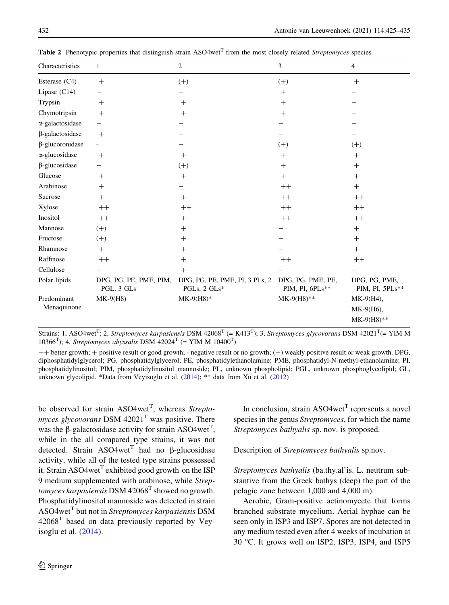| Characteristics            | 1                                    | 2                                                | 3                                    | 4                                          |
|----------------------------|--------------------------------------|--------------------------------------------------|--------------------------------------|--------------------------------------------|
| Esterase (C4)              | $^{+}$                               | $(+)$                                            | $(+)$                                | $^{+}$                                     |
| Lipase $(C14)$             |                                      |                                                  | $^{+}$                               |                                            |
| Trypsin                    | $^{+}$                               | $^{+}$                                           | $^{+}$                               |                                            |
| Chymotripsin               | $^{+}$                               | $^{+}$                                           | $^{+}$                               |                                            |
| $\alpha$ -galactosidase    |                                      |                                                  |                                      |                                            |
| $\beta$ -galactosidase     | $^{+}$                               |                                                  |                                      |                                            |
| β-glucoronidase            |                                      |                                                  | $(+)$                                | $(+)$                                      |
| $\alpha$ -glucosidase      | $^{+}$                               | $^{+}$                                           | $^{+}$                               | $^{+}$                                     |
| $\beta$ -glucosidase       |                                      | $(+)$                                            | $^{+}$                               | $^{+}$                                     |
| Glucose                    | $^{+}$                               | $^{+}$                                           | $^{+}$                               | $^{+}$                                     |
| Arabinose                  | $^{+}$                               |                                                  | $++$                                 | $^{+}$                                     |
| Sucrose                    | $^{+}$                               | $^{+}$                                           | $++$                                 | $^{++}$                                    |
| Xylose                     | $++$                                 | $++$                                             | $++$                                 | $^{++}$                                    |
| Inositol                   | $++$                                 | $^{+}$                                           | $++$                                 | $^{++}$                                    |
| Mannose                    | $(+)$                                | $^{+}$                                           |                                      | $^{+}$                                     |
| Fructose                   | $(+)$                                | $^{+}$                                           |                                      | $^{+}$                                     |
| Rhamnose                   | $^{+}$                               | $^{+}$                                           |                                      | $^{+}$                                     |
| Raffinose                  | $++$                                 | $^{+}$                                           | $++$                                 | $++$                                       |
| Cellulose                  |                                      | $^{+}$                                           |                                      |                                            |
| Polar lipids               | DPG, PG, PE, PME, PIM,<br>PGL, 3 GLs | DPG, PG, PE, PME, PI, 3 PLs, 2<br>PGLs, $2$ GLs* | DPG, PG, PME, PE,<br>PIM, PI, 6PLs** | DPG, PG, PME,<br>PIM, PI, 5PLs**           |
| Predominant<br>Menaquinone | $MK-9(H8)$                           | $MK-9(H8)*$                                      | $MK-9(H8)$ **                        | $MK-9(H4)$ ,<br>MK-9(H6),<br>$MK-9(H8)$ ** |

<span id="page-7-0"></span>**Table 2** Phenotypic properties that distinguish strain ASO4wet<sup>T</sup> from the most closely related *Streptomyces* species

Strains: 1, ASO4wet<sup>T</sup>; 2, Streptomyces karpasiensis DSM 42068<sup>T</sup> (= K413<sup>T</sup>); 3, Streptomyces glycovorans DSM 42021<sup>T</sup>(= YIM M 10366<sup>T</sup>); 4, Streptomyces abyssalis DSM 42024<sup>T</sup> (= YIM M 10400<sup>T</sup>)

 $++$  better growth;  $+$  positive result or good growth; - negative result or no growth; (+) weakly positive result or weak growth. DPG, diphosphatidylglycerol; PG, phosphatidylglycerol; PE, phosphatidylethanolamine; PME, phosphatidyl-N-methyl-ethanolamine; PI, phosphatidylinositol; PIM, phosphatidylinositol mannoside; PL, unknown phospholipid; PGL, unknown phosphoglycolipid; GL, unknown glycolipid. \*Data from Veyisoglu et al. ([2014](#page-10-0)); \*\* data from Xu et al. [\(2012](#page-10-0))

be observed for strain ASO4wet<sup>T</sup>, whereas Streptomyces glycovorans DSM  $42021<sup>T</sup>$  was positive. There was the  $\beta$ -galactosidase activity for strain ASO4wet<sup>T</sup>, while in the all compared type strains, it was not detected. Strain  $ASO4wet^{T}$  had no  $\beta$ -glucosidase activity, while all of the tested type strains possessed it. Strain ASO4wet<sup>T</sup> exhibited good growth on the ISP 9 medium supplemented with arabinose, while Strep*tomyces karpasiensis* DSM 42068<sup>T</sup> showed no growth. Phosphatidylinositol mannoside was detected in strain ASO4wet<sup>T</sup> but not in *Streptomyces karpasiensis* DSM  $42068<sup>T</sup>$  based on data previously reported by Veyisoglu et al.  $(2014)$  $(2014)$ .

In conclusion, strain  $ASO4wet<sup>T</sup>$  represents a novel species in the genus Streptomyces, for which the name Streptomyces bathyalis sp. nov. is proposed.

Description of Streptomyces bathyalis sp.nov.

Streptomyces bathyalis (ba.thy.al'is. L. neutrum substantive from the Greek bathys (deep) the part of the pelagic zone between 1,000 and 4,000 m).

Aerobic, Gram-positive actinomycete that forms branched substrate mycelium. Aerial hyphae can be seen only in ISP3 and ISP7. Spores are not detected in any medium tested even after 4 weeks of incubation at 30 °C. It grows well on ISP2, ISP3, ISP4, and ISP5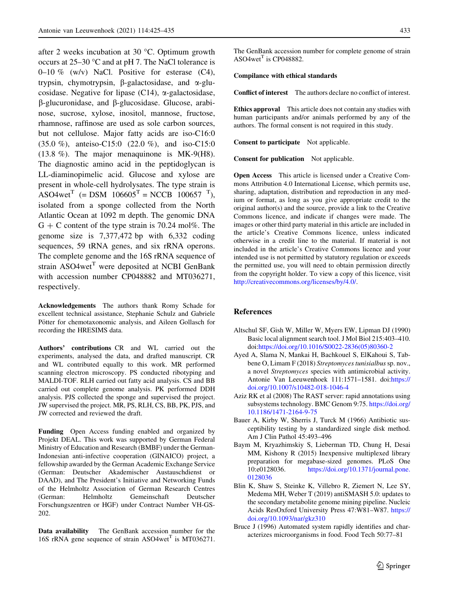<span id="page-8-0"></span>after 2 weeks incubation at 30  $^{\circ}$ C. Optimum growth occurs at  $25-30$  °C and at pH 7. The NaCl tolerance is 0–10 % (w/v) NaCl. Positive for esterase  $(C4)$ , trypsin, chymotrypsin,  $\beta$ -galactosidase, and  $\alpha$ -glucosidase. Negative for lipase (C14),  $\alpha$ -galactosidase,  $\beta$ -glucuronidase, and  $\beta$ -glucosidase. Glucose, arabinose, sucrose, xylose, inositol, mannose, fructose, rhamnose, raffinose are used as sole carbon sources, but not cellulose. Major fatty acids are iso-C16:0 (35.0 %), anteiso-C15:0 (22.0 %), and iso-C15:0 (13.8 %). The major menaquinone is MK-9(H8). The diagnostic amino acid in the peptidoglycan is LL-diaminopimelic acid. Glucose and xylose are present in whole-cell hydrolysates. The type strain is ASO4wet<sup>T</sup> (= DSM  $106605$ <sup>T</sup> = NCCB  $100657$ <sup>T</sup>), isolated from a sponge collected from the North Atlantic Ocean at 1092 m depth. The genomic DNA  $G + C$  content of the type strain is 70.24 mol%. The genome size is 7,377,472 bp with 6,332 coding sequences, 59 tRNA genes, and six rRNA operons. The complete genome and the 16S rRNA sequence of strain  $ASO4wet<sup>T</sup>$  were deposited at NCBI GenBank with accession number CP048882 and MT036271, respectively.

Acknowledgements The authors thank Romy Schade for excellent technical assistance, Stephanie Schulz and Gabriele Pötter for chemotaxonomic analysis, and Aileen Gollasch for recording the HRESIMS data.

Authors' contributions CR and WL carried out the experiments, analysed the data, and drafted manuscript. CR and WL contributed equally to this work. MR performed scanning electron microscopy. PS conducted ribotyping and MALDI-TOF. RLH carried out fatty acid analysis. CS and BB carried out complete genome analysis. PK performed DDH analysis. PJS collected the sponge and supervised the project. JW supervised the project. MR, PS, RLH, CS, BB, PK, PJS, and JW corrected and reviewed the draft.

Funding Open Access funding enabled and organized by Projekt DEAL. This work was supported by German Federal Ministry of Education and Research (BMBF) under the German-Indonesian anti-infective cooperation (GINAICO) project, a fellowship awarded by the German Academic Exchange Service (German: Deutscher Akademischer Austauschdienst or DAAD), and The President's Initiative and Networking Funds of the Helmholtz Association of German Research Centres (German: Helmholtz Gemeinschaft Deutscher Forschungszentren or HGF) under Contract Number VH-GS-202.

Data availability The GenBank accession number for the 16S rRNA gene sequence of strain  $ASO4wet^{T}$  is MT036271. The GenBank accession number for complete genome of strain  $ASO4wet<sup>T</sup>$  is CP048882.

#### Compilance with ethical standards

Conflict of interest The authors declare no conflict of interest.

Ethics approval This article does not contain any studies with human participants and/or animals performed by any of the authors. The formal consent is not required in this study.

Consent to participate Not applicable.

Consent for publication Not applicable.

Open Access This article is licensed under a Creative Commons Attribution 4.0 International License, which permits use, sharing, adaptation, distribution and reproduction in any medium or format, as long as you give appropriate credit to the original author(s) and the source, provide a link to the Creative Commons licence, and indicate if changes were made. The images or other third party material in this article are included in the article's Creative Commons licence, unless indicated otherwise in a credit line to the material. If material is not included in the article's Creative Commons licence and your intended use is not permitted by statutory regulation or exceeds the permitted use, you will need to obtain permission directly from the copyright holder. To view a copy of this licence, visit <http://creativecommons.org/licenses/by/4.0/>.

#### References

- Altschul SF, Gish W, Miller W, Myers EW, Lipman DJ (1990) Basic local alignment search tool. J Mol Biol 215:403–410. doi[:https://doi.org/10.1016/S0022-2836\(05\)80360-2](https://doi.org/10.1016/S0022-2836(05)80360-2)
- Ayed A, Slama N, Mankai H, Bachkouel S, ElKahoui S, Tabbene O, Limam F (2018) Streptomyces tunisialbus sp. nov., a novel Streptomyces species with antimicrobial activity. Antonie Van Leeuwenhoek 111:1571–1581. doi:[https://](https://doi.org/10.1007/s10482-018-1046-4) [doi.org/10.1007/s10482-018-1046-4](https://doi.org/10.1007/s10482-018-1046-4)
- Aziz RK et al (2008) The RAST server: rapid annotations using subsystems technology. BMC Genom 9:75. [https://doi.org/](https://doi.org/10.1186/1471-2164-9-75) [10.1186/1471-2164-9-75](https://doi.org/10.1186/1471-2164-9-75)
- Bauer A, Kirby W, Sherris J, Turck M (1966) Antibiotic susceptibility testing by a standardized single disk method. Am J Clin Pathol 45:493–496
- Baym M, Kryazhimskiy S, Lieberman TD, Chung H, Desai MM, Kishony R (2015) Inexpensive multiplexed library preparation for megabase-sized genomes. PLoS One 10:e0128036. [https://doi.org/10.1371/journal.pone.](https://doi.org/10.1371/journal.pone.0128036) [0128036](https://doi.org/10.1371/journal.pone.0128036)
- Blin K, Shaw S, Steinke K, Villebro R, Ziemert N, Lee SY, Medema MH, Weber T (2019) antiSMASH 5.0: updates to the secondary metabolite genome mining pipeline. Nucleic Acids ResOxford University Press 47:W81–W87. [https://](https://doi.org/10.1093/nar/gkz310) [doi.org/10.1093/nar/gkz310](https://doi.org/10.1093/nar/gkz310)
- Bruce J (1996) Automated system rapidly identifies and characterizes microorganisms in food. Food Tech 50:77–81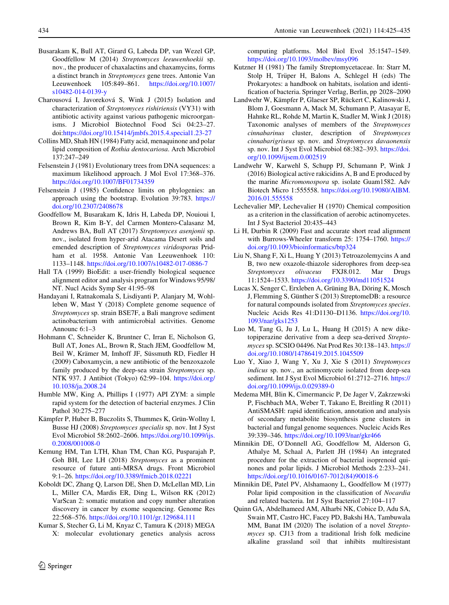- <span id="page-9-0"></span>Busarakam K, Bull AT, Girard G, Labeda DP, van Wezel GP, Goodfellow M (2014) Streptomyces leeuwenhoekii sp. nov., the producer of chaxalactins and chaxamycins, forms a distinct branch in Streptomyces gene trees. Antonie Van Leeuwenhoek 105:849–861. [https://doi.org/10.1007/](https://doi.org/10.1007/s10482-014-0139-y) [s10482-014-0139-y](https://doi.org/10.1007/s10482-014-0139-y)
- Charousová I, Javoreková S, Wink J (2015) Isolation and characterization of Streptomyces rishiriensis (VY31) with antibiotic activity against various pathogenic microorganisms. J Microbiol Biotechnol Food Sci 04:23–27. doi[:https://doi.org/10.15414/jmbfs.2015.4.special1.23-27](https://doi.org/10.15414/jmbfs.2015.4.special1.23-27)
- Collins MD, Shah HN (1984) Fatty acid, menaquinone and polar lipid composition of Rothia dentocariosa. Arch Microbiol 137:247–249
- Felsenstein J (1981) Evolutionary trees from DNA sequences: a maximum likelihood approach. J Mol Evol 17:368–376. <https://doi.org/10.1007/BF01734359>
- Felsenstein J (1985) Confidence limits on phylogenies: an approach using the bootstrap. Evolution 39:783. [https://](https://doi.org/10.2307/2408678) [doi.org/10.2307/2408678](https://doi.org/10.2307/2408678)
- Goodfellow M, Busarakam K, Idris H, Labeda DP, Nouioui I, Brown R, Kim B-Y, del Carmen Montero-Calasanz M, Andrews BA, Bull AT (2017) Streptomyces asenjonii sp. nov., isolated from hyper-arid Atacama Desert soils and emended description of Streptomyces viridosporus Pridham et al. 1958. Antonie Van Leeuwenhoek 110: 1133–1148. <https://doi.org/10.1007/s10482-017-0886-7>
- Hall TA (1999) BioEdit: a user-friendly biological sequence alignment editor and analysis program for Windows 95/98/ NT. Nucl Acids Symp Ser 41:95–98
- Handayani I, Ratnakomala S, Lisdiyanti P, Alanjary M, Wohlleben W, Mast Y (2018) Complete genome sequence of Streptomyces sp. strain BSE7F, a Bali mangrove sediment actinobacterium with antimicrobial activities. Genome Announc 6:1–3
- Hohmann C, Schneider K, Bruntner C, Irran E, Nicholson G, Bull AT, Jones AL, Brown R, Stach JEM, Goodfellow M, Beil W, Krämer M, Imhoff JF, Süssmuth RD, Fiedler H (2009) Caboxamycin, a new antibiotic of the benzoxazole family produced by the deep-sea strain Streptomyces sp. NTK 937. J Antibiot (Tokyo) 62:99–104. [https://doi.org/](https://doi.org/10.1038/ja.2008.24) [10.1038/ja.2008.24](https://doi.org/10.1038/ja.2008.24)
- Humble MW, King A, Phillips I (1977) API ZYM: a simple rapid system for the detection of bacterial enzymes. J Clin Pathol 30:275–277
- Kämpfer P, Huber B, Buczolits S, Thummes K, Grün-Wollny I, Busse HJ (2008) Streptomyces specialis sp. nov. Int J Syst Evol Microbiol 58:2602–2606. [https://doi.org/10.1099/ijs.](https://doi.org/10.1099/ijs.0.2008/001008-0) [0.2008/001008-0](https://doi.org/10.1099/ijs.0.2008/001008-0)
- Kemung HM, Tan LTH, Khan TM, Chan KG, Pusparajah P, Goh BH, Lee LH (2018) Streptomyces as a prominent resource of future anti-MRSA drugs. Front Microbiol 9:1–26. <https://doi.org/10.3389/fmicb.2018.02221>
- Koboldt DC, Zhang Q, Larson DE, Shen D, McLellan MD, Lin L, Miller CA, Mardis ER, Ding L, Wilson RK (2012) VarScan 2: somatic mutation and copy number alteration discovery in cancer by exome sequencing. Genome Res 22:568–576. <https://doi.org/10.1101/gr.129684.111>
- Kumar S, Stecher G, Li M, Knyaz C, Tamura K (2018) MEGA X: molecular evolutionary genetics analysis across

computing platforms. Mol Biol Evol 35:1547–1549. <https://doi.org/10.1093/molbev/msy096>

- Kutzner H (1981) The family Streptomycetaceae. In: Starr M, Stolp H, Trüper H, Balons A, Schlegel H (eds) The Prokaryotes: a handbook on habitats, isolation and identification of bacteria. Springer Verlag, Berlin, pp 2028–2090
- Landwehr W, Kämpfer P, Glaeser SP, Rückert C, Kalinowski J, Blom J, Goesmann A, Mack M, Schumann P, Atasayar E, Hahnke RL, Rohde M, Martin K, Stadler M, Wink J (2018) Taxonomic analyses of members of the Streptomyces cinnabarinus cluster, description of Streptomyces cinnabarigriseus sp. nov. and Streptomyces davaonensis sp. nov. Int J Syst Evol Microbiol 68:382–393. [https://doi.](https://doi.org/10.1099/ijsem.0.002519) [org/10.1099/ijsem.0.002519](https://doi.org/10.1099/ijsem.0.002519)
- Landwehr W, Karwehl S, Schupp PJ, Schumann P, Wink J (2016) Biological active rakicidins A, B and E produced by the marine Micromonospora sp. isolate Guam1582. Adv Biotech Micro 1:555558. [https://doi.org/10.19080/AIBM.](https://doi.org/10.19080/AIBM.2016.01.555558) [2016.01.555558](https://doi.org/10.19080/AIBM.2016.01.555558)
- Lechevalier MP, Lechevalier H (1970) Chemical composition as a criterion in the classification of aerobic actinomycetes. Int J Syst Bacteriol 20:435–443
- Li H, Durbin R (2009) Fast and accurate short read alignment with Burrows-Wheeler transform 25: 1754–1760. [https://](https://doi.org/10.1093/bioinformatics/btp324) [doi.org/10.1093/bioinformatics/btp324](https://doi.org/10.1093/bioinformatics/btp324)
- Liu N, Shang F, Xi L, Huang Y (2013) Tetroazolemycins A and B, two new oxazole-thiazole siderophores from deep-sea Streptomyces olivaceus FXJ8.012. Mar Drugs 11:1524–1533. <https://doi.org/10.3390/md11051524>
- Lucas X, Senger C, Erxleben A, Grüning BA, Döring K, Mosch J, Flemming S, Günther S (2013) StreptomeDB: a resource for natural compounds isolated from Streptomyces species. Nucleic Acids Res 41:D1130–D1136. [https://doi.org/10.](https://doi.org/10.1093/nar/gks1253) [1093/nar/gks1253](https://doi.org/10.1093/nar/gks1253)
- Luo M, Tang G, Ju J, Lu L, Huang H (2015) A new diketopiperazine derivative from a deep sea-derived Streptomyces sp. SCSIO 04496. Nat Prod Res 30:138–143. [https://](https://doi.org/10.1080/14786419.2015.1045509) [doi.org/10.1080/14786419.2015.1045509](https://doi.org/10.1080/14786419.2015.1045509)
- Luo Y, Xiao J, Wang Y, Xu J, Xie S (2011) Streptomyces indicus sp. nov., an actinomycete isolated from deep-sea sediment. Int J Syst Evol Microbiol 61:2712–2716. [https://](https://doi.org/10.1099/ijs.0.029389-0) [doi.org/10.1099/ijs.0.029389-0](https://doi.org/10.1099/ijs.0.029389-0)
- Medema MH, Blin K, Cimermancic P, De Jager V, Zakrzewski P, Fischbach MA, Weber T, Takano E, Breitling R (2011) AntiSMASH: rapid identification, annotation and analysis of secondary metabolite biosynthesis gene clusters in bacterial and fungal genome sequences. Nucleic Acids Res 39:339–346. <https://doi.org/10.1093/nar/gkr466>
- Minnikin DE, O'Donnell AG, Goodfellow M, Alderson G, Athalye M, Schaal A, Parlett JH (1984) An integrated procedure for the extraction of bacterial isoprenoid quinones and polar lipids. J Microbiol Methods 2:233–241. [https://doi.org/10.1016/0167-7012\(84\)90018-6](https://doi.org/10.1016/0167-7012(84)90018-6)
- Minnikin DE, Patel PV, Alshamaony L, Goodfellow M (1977) Polar lipid composition in the classification of Nocardia and related bacteria. Int J Syst Bacteriol 27:104–117
- Quinn GA, Abdelhameed AM, Alharbi NK, Cobice D, Adu SA, Swain MT, Castro HC, Facey PD, Bakshi HA, Tambuwala MM, Banat IM (2020) The isolation of a novel Streptomyces sp. CJ13 from a traditional Irish folk medicine alkaline grassland soil that inhibits multiresistant